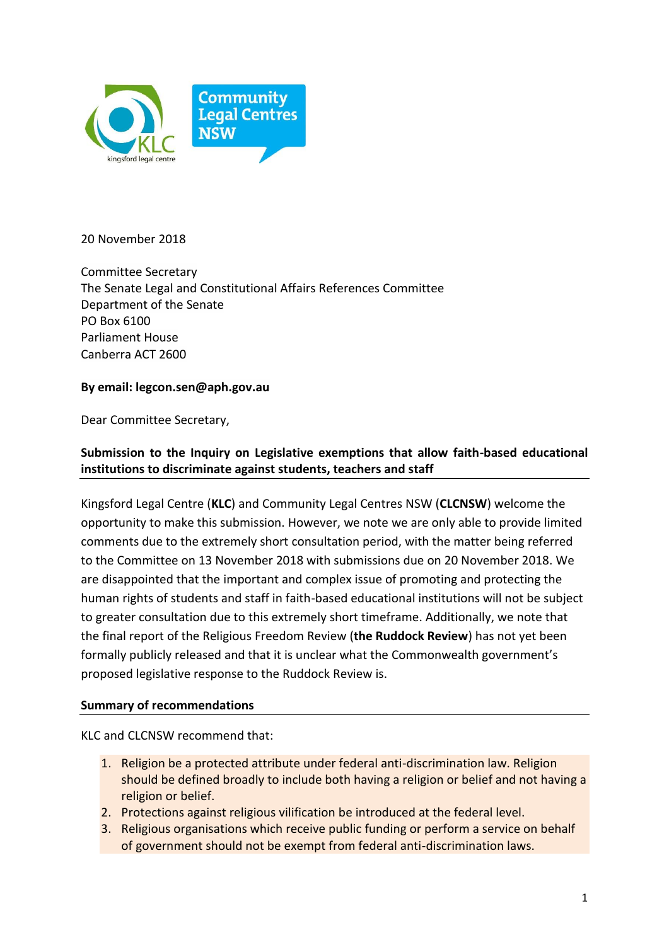

20 November 2018

Committee Secretary The Senate Legal and Constitutional Affairs References Committee Department of the Senate PO Box 6100 Parliament House Canberra ACT 2600

## **By email: legcon.sen@aph.gov.au**

Dear Committee Secretary,

# **Submission to the Inquiry on Legislative exemptions that allow faith-based educational institutions to discriminate against students, teachers and staff**

Kingsford Legal Centre (**KLC**) and Community Legal Centres NSW (**CLCNSW**) welcome the opportunity to make this submission. However, we note we are only able to provide limited comments due to the extremely short consultation period, with the matter being referred to the Committee on 13 November 2018 with submissions due on 20 November 2018. We are disappointed that the important and complex issue of promoting and protecting the human rights of students and staff in faith-based educational institutions will not be subject to greater consultation due to this extremely short timeframe. Additionally, we note that the final report of the Religious Freedom Review (**the Ruddock Review**) has not yet been formally publicly released and that it is unclear what the Commonwealth government's proposed legislative response to the Ruddock Review is.

## **Summary of recommendations**

KLC and CLCNSW recommend that:

- 1. Religion be a protected attribute under federal anti-discrimination law. Religion should be defined broadly to include both having a religion or belief and not having a religion or belief.
- 2. Protections against religious vilification be introduced at the federal level.
- 3. Religious organisations which receive public funding or perform a service on behalf of government should not be exempt from federal anti-discrimination laws.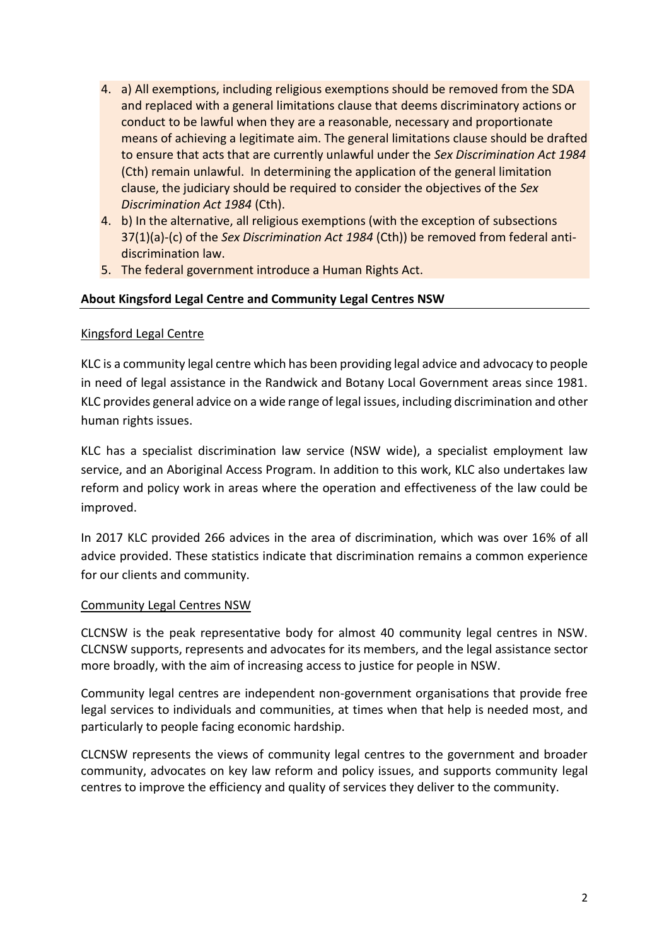- 4. a) All exemptions, including religious exemptions should be removed from the SDA and replaced with a general limitations clause that deems discriminatory actions or conduct to be lawful when they are a reasonable, necessary and proportionate means of achieving a legitimate aim. The general limitations clause should be drafted to ensure that acts that are currently unlawful under the *Sex Discrimination Act 1984*  (Cth) remain unlawful. In determining the application of the general limitation clause, the judiciary should be required to consider the objectives of the *Sex Discrimination Act 1984* (Cth).
- 4. b) In the alternative, all religious exemptions (with the exception of subsections 37(1)(a)-(c) of the *Sex Discrimination Act 1984* (Cth)) be removed from federal antidiscrimination law.
- 5. The federal government introduce a Human Rights Act.

## **About Kingsford Legal Centre and Community Legal Centres NSW**

## Kingsford Legal Centre

KLC is a community legal centre which has been providing legal advice and advocacy to people in need of legal assistance in the Randwick and Botany Local Government areas since 1981. KLC provides general advice on a wide range of legal issues, including discrimination and other human rights issues.

KLC has a specialist discrimination law service (NSW wide), a specialist employment law service, and an Aboriginal Access Program. In addition to this work, KLC also undertakes law reform and policy work in areas where the operation and effectiveness of the law could be improved.

In 2017 KLC provided 266 advices in the area of discrimination, which was over 16% of all advice provided. These statistics indicate that discrimination remains a common experience for our clients and community.

## Community Legal Centres NSW

CLCNSW is the peak representative body for almost 40 community legal centres in NSW. CLCNSW supports, represents and advocates for its members, and the legal assistance sector more broadly, with the aim of increasing access to justice for people in NSW.

Community legal centres are independent non-government organisations that provide free legal services to individuals and communities, at times when that help is needed most, and particularly to people facing economic hardship.

CLCNSW represents the views of community legal centres to the government and broader community, advocates on key law reform and policy issues, and supports community legal centres to improve the efficiency and quality of services they deliver to the community.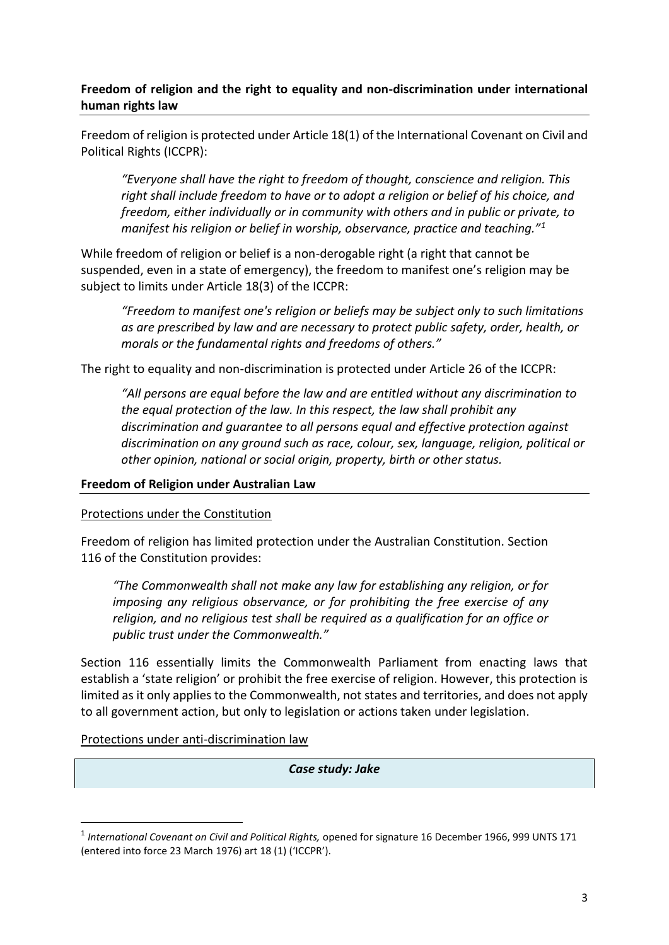## **Freedom of religion and the right to equality and non-discrimination under international human rights law**

Freedom of religion is protected under Article 18(1) of the International Covenant on Civil and Political Rights (ICCPR):

*"Everyone shall have the right to freedom of thought, conscience and religion. This right shall include freedom to have or to adopt a religion or belief of his choice, and freedom, either individually or in community with others and in public or private, to manifest his religion or belief in worship, observance, practice and teaching."<sup>1</sup>*

While freedom of religion or belief is a non-derogable right (a right that cannot be suspended, even in a state of emergency), the freedom to manifest one's religion may be subject to limits under Article 18(3) of the ICCPR:

*"Freedom to manifest one's religion or beliefs may be subject only to such limitations as are prescribed by law and are necessary to protect public safety, order, health, or morals or the fundamental rights and freedoms of others."*

The right to equality and non-discrimination is protected under Article 26 of the ICCPR:

*"All persons are equal before the law and are entitled without any discrimination to the equal protection of the law. In this respect, the law shall prohibit any discrimination and guarantee to all persons equal and effective protection against discrimination on any ground such as race, colour, sex, language, religion, political or other opinion, national or social origin, property, birth or other status.*

#### **Freedom of Religion under Australian Law**

#### Protections under the Constitution

Freedom of religion has limited protection under the Australian Constitution. Section 116 of the Constitution provides:

*"The Commonwealth shall not make any law for establishing any religion, or for imposing any religious observance, or for prohibiting the free exercise of any religion, and no religious test shall be required as a qualification for an office or public trust under the Commonwealth."*

Section 116 essentially limits the Commonwealth Parliament from enacting laws that establish a 'state religion' or prohibit the free exercise of religion. However, this protection is limited as it only applies to the Commonwealth, not states and territories, and does not apply to all government action, but only to legislation or actions taken under legislation.

Protections under anti-discrimination law

*Case study: Jake*

 <sup>1</sup> *International Covenant on Civil and Political Rights,* opened for signature 16 December 1966, 999 UNTS 171 (entered into force 23 March 1976) art 18 (1) ('ICCPR').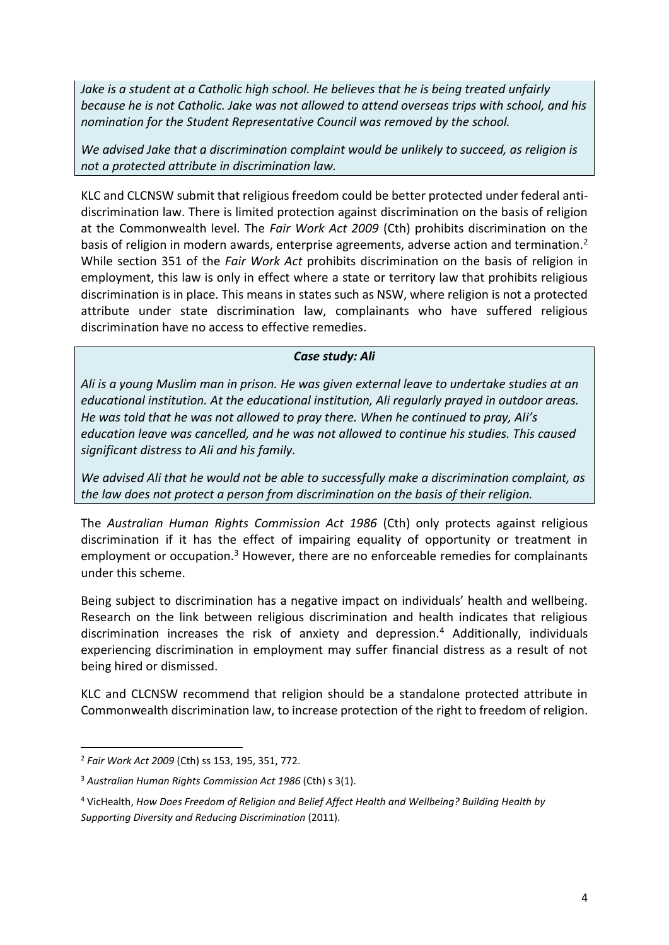*Jake is a student at a Catholic high school. He believes that he is being treated unfairly because he is not Catholic. Jake was not allowed to attend overseas trips with school, and his nomination for the Student Representative Council was removed by the school.* 

*We advised Jake that a discrimination complaint would be unlikely to succeed, as religion is not a protected attribute in discrimination law.*

KLC and CLCNSW submit that religious freedom could be better protected under federal antidiscrimination law. There is limited protection against discrimination on the basis of religion at the Commonwealth level. The *Fair Work Act 2009* (Cth) prohibits discrimination on the basis of religion in modern awards, enterprise agreements, adverse action and termination.<sup>2</sup> While section 351 of the *Fair Work Act* prohibits discrimination on the basis of religion in employment, this law is only in effect where a state or territory law that prohibits religious discrimination is in place. This means in states such as NSW, where religion is not a protected attribute under state discrimination law, complainants who have suffered religious discrimination have no access to effective remedies.

### *Case study: Ali*

*Ali is a young Muslim man in prison. He was given external leave to undertake studies at an educational institution. At the educational institution, Ali regularly prayed in outdoor areas. He was told that he was not allowed to pray there. When he continued to pray, Ali's education leave was cancelled, and he was not allowed to continue his studies. This caused significant distress to Ali and his family.* 

*We advised Ali that he would not be able to successfully make a discrimination complaint, as the law does not protect a person from discrimination on the basis of their religion.* 

The *Australian Human Rights Commission Act 1986* (Cth) only protects against religious discrimination if it has the effect of impairing equality of opportunity or treatment in employment or occupation.<sup>3</sup> However, there are no enforceable remedies for complainants under this scheme.

Being subject to discrimination has a negative impact on individuals' health and wellbeing. Research on the link between religious discrimination and health indicates that religious discrimination increases the risk of anxiety and depression.<sup>4</sup> Additionally, individuals experiencing discrimination in employment may suffer financial distress as a result of not being hired or dismissed.

KLC and CLCNSW recommend that religion should be a standalone protected attribute in Commonwealth discrimination law, to increase protection of the right to freedom of religion.

 <sup>2</sup> *Fair Work Act 2009* (Cth) ss 153, 195, 351, 772.

<sup>3</sup> *Australian Human Rights Commission Act 1986* (Cth) s 3(1).

<sup>4</sup> VicHealth, *How Does Freedom of Religion and Belief Affect Health and Wellbeing? Building Health by Supporting Diversity and Reducing Discrimination* (2011).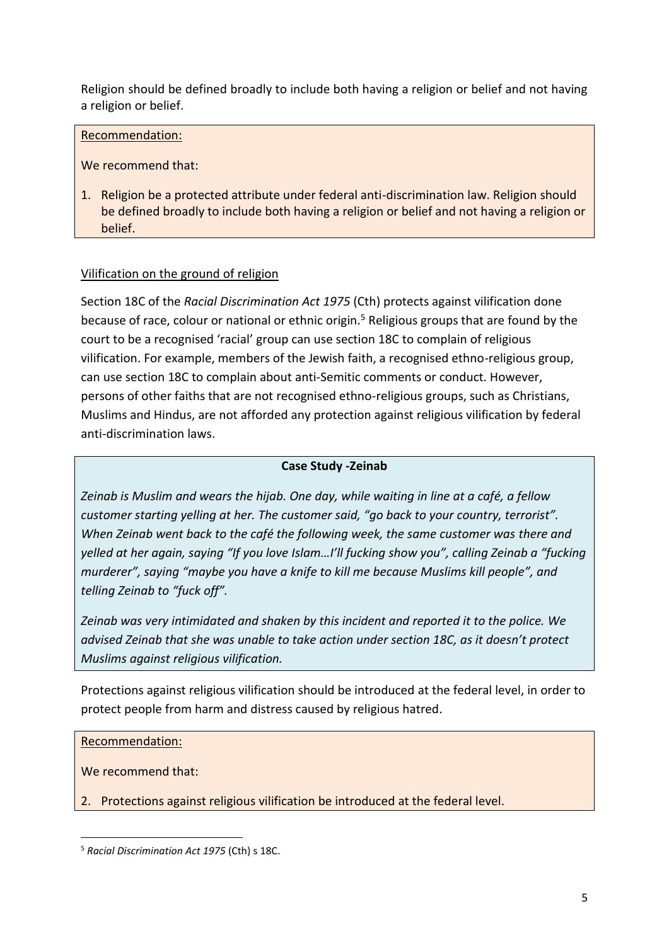Religion should be defined broadly to include both having a religion or belief and not having a religion or belief.

### Recommendation:

We recommend that:

1. Religion be a protected attribute under federal anti-discrimination law. Religion should be defined broadly to include both having a religion or belief and not having a religion or belief.

## Vilification on the ground of religion

Section 18C of the *Racial Discrimination Act 1975* (Cth) protects against vilification done because of race, colour or national or ethnic origin.<sup>5</sup> Religious groups that are found by the court to be a recognised 'racial' group can use section 18C to complain of religious vilification. For example, members of the Jewish faith, a recognised ethno-religious group, can use section 18C to complain about anti-Semitic comments or conduct. However, persons of other faiths that are not recognised ethno-religious groups, such as Christians, Muslims and Hindus, are not afforded any protection against religious vilification by federal anti-discrimination laws.

### **Case Study -Zeinab**

*Zeinab is Muslim and wears the hijab. One day, while waiting in line at a café, a fellow customer starting yelling at her. The customer said, "go back to your country, terrorist". When Zeinab went back to the café the following week, the same customer was there and yelled at her again, saying "If you love Islam…I'll fucking show you", calling Zeinab a "fucking murderer", saying "maybe you have a knife to kill me because Muslims kill people", and telling Zeinab to "fuck off".* 

*Zeinab was very intimidated and shaken by this incident and reported it to the police. We advised Zeinab that she was unable to take action under section 18C, as it doesn't protect Muslims against religious vilification.* 

Protections against religious vilification should be introduced at the federal level, in order to protect people from harm and distress caused by religious hatred.

Recommendation:

We recommend that:

2. Protections against religious vilification be introduced at the federal level.

 <sup>5</sup> *Racial Discrimination Act 1975* (Cth) <sup>s</sup> 18C.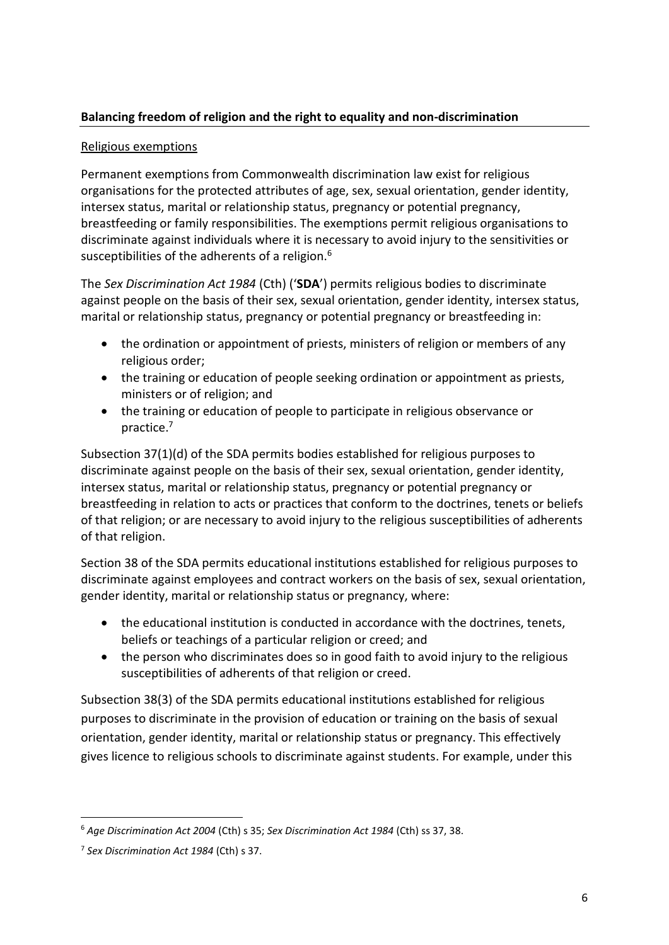# **Balancing freedom of religion and the right to equality and non-discrimination**

## Religious exemptions

Permanent exemptions from Commonwealth discrimination law exist for religious organisations for the protected attributes of age, sex, sexual orientation, gender identity, intersex status, marital or relationship status, pregnancy or potential pregnancy, breastfeeding or family responsibilities. The exemptions permit religious organisations to discriminate against individuals where it is necessary to avoid injury to the sensitivities or susceptibilities of the adherents of a religion.<sup>6</sup>

The *Sex Discrimination Act 1984* (Cth) ('**SDA**') permits religious bodies to discriminate against people on the basis of their sex, sexual orientation, gender identity, intersex status, marital or relationship status, pregnancy or potential pregnancy or breastfeeding in:

- the ordination or appointment of priests, ministers of religion or members of any religious order;
- the training or education of people seeking ordination or appointment as priests, ministers or of religion; and
- the training or education of people to participate in religious observance or practice.7

Subsection 37(1)(d) of the SDA permits bodies established for religious purposes to discriminate against people on the basis of their sex, sexual orientation, gender identity, intersex status, marital or relationship status, pregnancy or potential pregnancy or breastfeeding in relation to acts or practices that conform to the doctrines, tenets or beliefs of that religion; or are necessary to avoid injury to the religious susceptibilities of adherents of that religion.

Section 38 of the SDA permits educational institutions established for religious purposes to discriminate against employees and contract workers on the basis of sex, sexual orientation, gender identity, marital or relationship status or pregnancy, where:

- the educational institution is conducted in accordance with the doctrines, tenets, beliefs or teachings of a particular religion or creed; and
- the person who discriminates does so in good faith to avoid injury to the religious susceptibilities of adherents of that religion or creed.

Subsection 38(3) of the SDA permits educational institutions established for religious purposes to discriminate in the provision of education or training on the basis of sexual orientation, gender identity, marital or relationship status or pregnancy. This effectively gives licence to religious schools to discriminate against students. For example, under this

 <sup>6</sup> *Age Discrimination Act 2004* (Cth) s 35; *Sex Discrimination Act 1984* (Cth) ss 37, 38.

<sup>7</sup> *Sex Discrimination Act 1984* (Cth) s 37.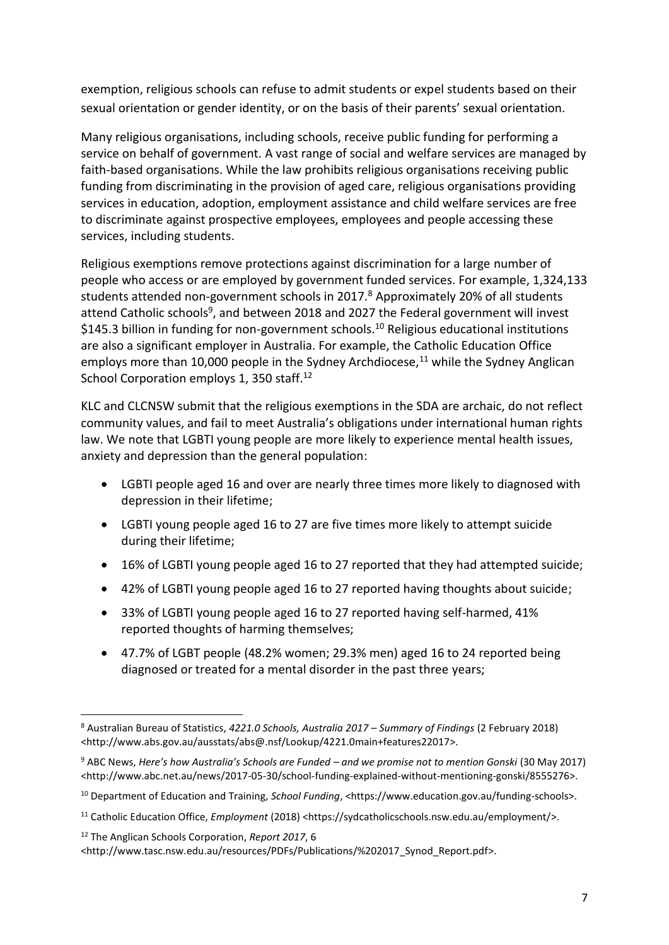exemption, religious schools can refuse to admit students or expel students based on their sexual orientation or gender identity, or on the basis of their parents' sexual orientation.

Many religious organisations, including schools, receive public funding for performing a service on behalf of government. A vast range of social and welfare services are managed by faith-based organisations. While the law prohibits religious organisations receiving public funding from discriminating in the provision of aged care, religious organisations providing services in education, adoption, employment assistance and child welfare services are free to discriminate against prospective employees, employees and people accessing these services, including students.

Religious exemptions remove protections against discrimination for a large number of people who access or are employed by government funded services. For example, 1,324,133 students attended non-government schools in 2017.<sup>8</sup> Approximately 20% of all students attend Catholic schools<sup>9</sup>, and between 2018 and 2027 the Federal government will invest \$145.3 billion in funding for non-government schools.<sup>10</sup> Religious educational institutions are also a significant employer in Australia. For example, the Catholic Education Office employs more than 10,000 people in the Sydney Archdiocese, $11$  while the Sydney Anglican School Corporation employs 1, 350 staff.<sup>12</sup>

KLC and CLCNSW submit that the religious exemptions in the SDA are archaic, do not reflect community values, and fail to meet Australia's obligations under international human rights law. We note that LGBTI young people are more likely to experience mental health issues, anxiety and depression than the general population:

- LGBTI people aged 16 and over are nearly three times more likely to diagnosed with depression in their lifetime;
- LGBTI young people aged 16 to 27 are five times more likely to attempt suicide during their lifetime;
- 16% of LGBTI young people aged 16 to 27 reported that they had attempted suicide;
- 42% of LGBTI young people aged 16 to 27 reported having thoughts about suicide;
- 33% of LGBTI young people aged 16 to 27 reported having self-harmed, 41% reported thoughts of harming themselves;
- 47.7% of LGBT people (48.2% women; 29.3% men) aged 16 to 24 reported being diagnosed or treated for a mental disorder in the past three years;

 <sup>8</sup> Australian Bureau of Statistics, *4221.0 Schools, Australia 2017 – Summary of Findings* (2 February 2018) <http://www.abs.gov.au/ausstats/abs@.nsf/Lookup/4221.0main+features22017>.

<sup>9</sup> ABC News, *Here's how Australia's Schools are Funded – and we promise not to mention Gonski* (30 May 2017) <http://www.abc.net.au/news/2017-05-30/school-funding-explained-without-mentioning-gonski/8555276>.

<sup>10</sup> Department of Education and Training, *School Funding*, <https://www.education.gov.au/funding-schools>.

<sup>11</sup> Catholic Education Office, *Employment* (2018) <https://sydcatholicschools.nsw.edu.au/employment/>.

<sup>12</sup> The Anglican Schools Corporation, *Report 2017*, 6

<sup>&</sup>lt;http://www.tasc.nsw.edu.au/resources/PDFs/Publications/%202017\_Synod\_Report.pdf>.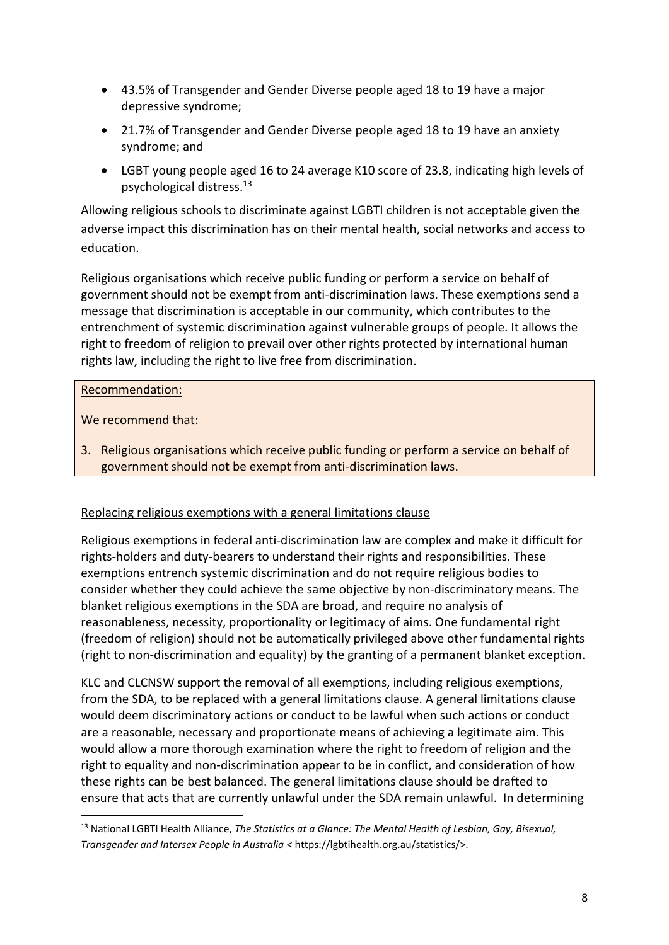- 43.5% of Transgender and Gender Diverse people aged 18 to 19 have a major depressive syndrome;
- 21.7% of Transgender and Gender Diverse people aged 18 to 19 have an anxiety syndrome; and
- LGBT young people aged 16 to 24 average K10 score of 23.8, indicating high levels of psychological distress.13

Allowing religious schools to discriminate against LGBTI children is not acceptable given the adverse impact this discrimination has on their mental health, social networks and access to education.

Religious organisations which receive public funding or perform a service on behalf of government should not be exempt from anti-discrimination laws. These exemptions send a message that discrimination is acceptable in our community, which contributes to the entrenchment of systemic discrimination against vulnerable groups of people. It allows the right to freedom of religion to prevail over other rights protected by international human rights law, including the right to live free from discrimination.

# Recommendation:

We recommend that:

3. Religious organisations which receive public funding or perform a service on behalf of government should not be exempt from anti-discrimination laws.

## Replacing religious exemptions with a general limitations clause

Religious exemptions in federal anti-discrimination law are complex and make it difficult for rights-holders and duty-bearers to understand their rights and responsibilities. These exemptions entrench systemic discrimination and do not require religious bodies to consider whether they could achieve the same objective by non-discriminatory means. The blanket religious exemptions in the SDA are broad, and require no analysis of reasonableness, necessity, proportionality or legitimacy of aims. One fundamental right (freedom of religion) should not be automatically privileged above other fundamental rights (right to non-discrimination and equality) by the granting of a permanent blanket exception.

KLC and CLCNSW support the removal of all exemptions, including religious exemptions, from the SDA, to be replaced with a general limitations clause. A general limitations clause would deem discriminatory actions or conduct to be lawful when such actions or conduct are a reasonable, necessary and proportionate means of achieving a legitimate aim. This would allow a more thorough examination where the right to freedom of religion and the right to equality and non-discrimination appear to be in conflict, and consideration of how these rights can be best balanced. The general limitations clause should be drafted to ensure that acts that are currently unlawful under the SDA remain unlawful. In determining

 <sup>13</sup> National LGBTI Health Alliance, *The Statistics at a Glance: The Mental Health of Lesbian, Gay, Bisexual, Transgender and Intersex People in Australia* < https://lgbtihealth.org.au/statistics/>.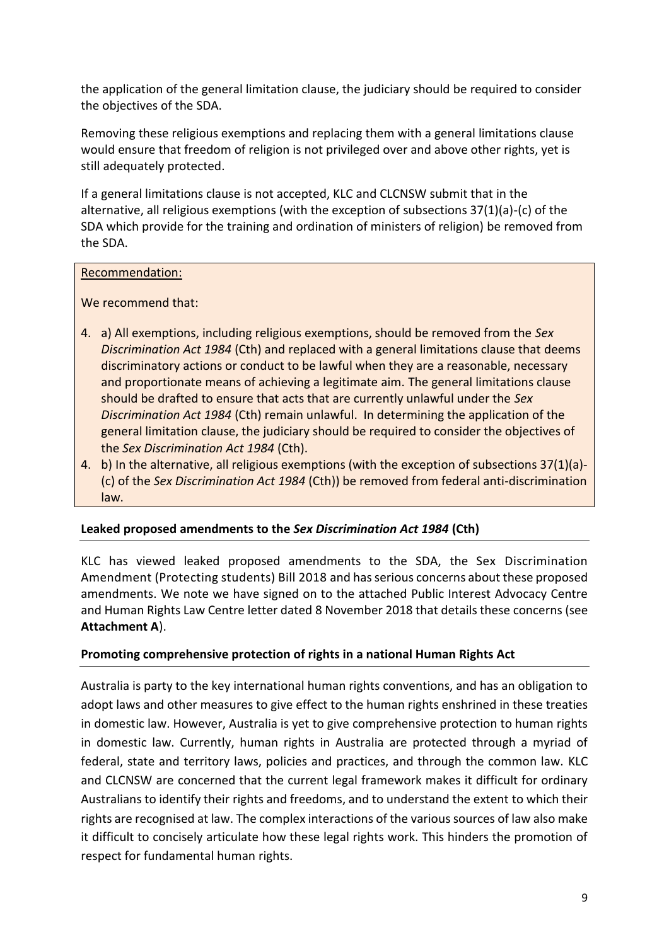the application of the general limitation clause, the judiciary should be required to consider the objectives of the SDA.

Removing these religious exemptions and replacing them with a general limitations clause would ensure that freedom of religion is not privileged over and above other rights, yet is still adequately protected.

If a general limitations clause is not accepted, KLC and CLCNSW submit that in the alternative, all religious exemptions (with the exception of subsections 37(1)(a)-(c) of the SDA which provide for the training and ordination of ministers of religion) be removed from the SDA.

### Recommendation:

We recommend that:

- 4. a) All exemptions, including religious exemptions, should be removed from the *Sex Discrimination Act 1984* (Cth) and replaced with a general limitations clause that deems discriminatory actions or conduct to be lawful when they are a reasonable, necessary and proportionate means of achieving a legitimate aim. The general limitations clause should be drafted to ensure that acts that are currently unlawful under the *Sex Discrimination Act 1984* (Cth) remain unlawful. In determining the application of the general limitation clause, the judiciary should be required to consider the objectives of the *Sex Discrimination Act 1984* (Cth).
- 4. b) In the alternative, all religious exemptions (with the exception of subsections 37(1)(a)- (c) of the *Sex Discrimination Act 1984* (Cth)) be removed from federal anti-discrimination law.

## **Leaked proposed amendments to the** *Sex Discrimination Act 1984* **(Cth)**

KLC has viewed leaked proposed amendments to the SDA, the Sex Discrimination Amendment (Protecting students) Bill 2018 and has serious concerns about these proposed amendments. We note we have signed on to the attached Public Interest Advocacy Centre and Human Rights Law Centre letter dated 8 November 2018 that details these concerns (see **Attachment A**).

## **Promoting comprehensive protection of rights in a national Human Rights Act**

Australia is party to the key international human rights conventions, and has an obligation to adopt laws and other measures to give effect to the human rights enshrined in these treaties in domestic law. However, Australia is yet to give comprehensive protection to human rights in domestic law. Currently, human rights in Australia are protected through a myriad of federal, state and territory laws, policies and practices, and through the common law. KLC and CLCNSW are concerned that the current legal framework makes it difficult for ordinary Australians to identify their rights and freedoms, and to understand the extent to which their rights are recognised at law. The complex interactions of the various sources of law also make it difficult to concisely articulate how these legal rights work. This hinders the promotion of respect for fundamental human rights.